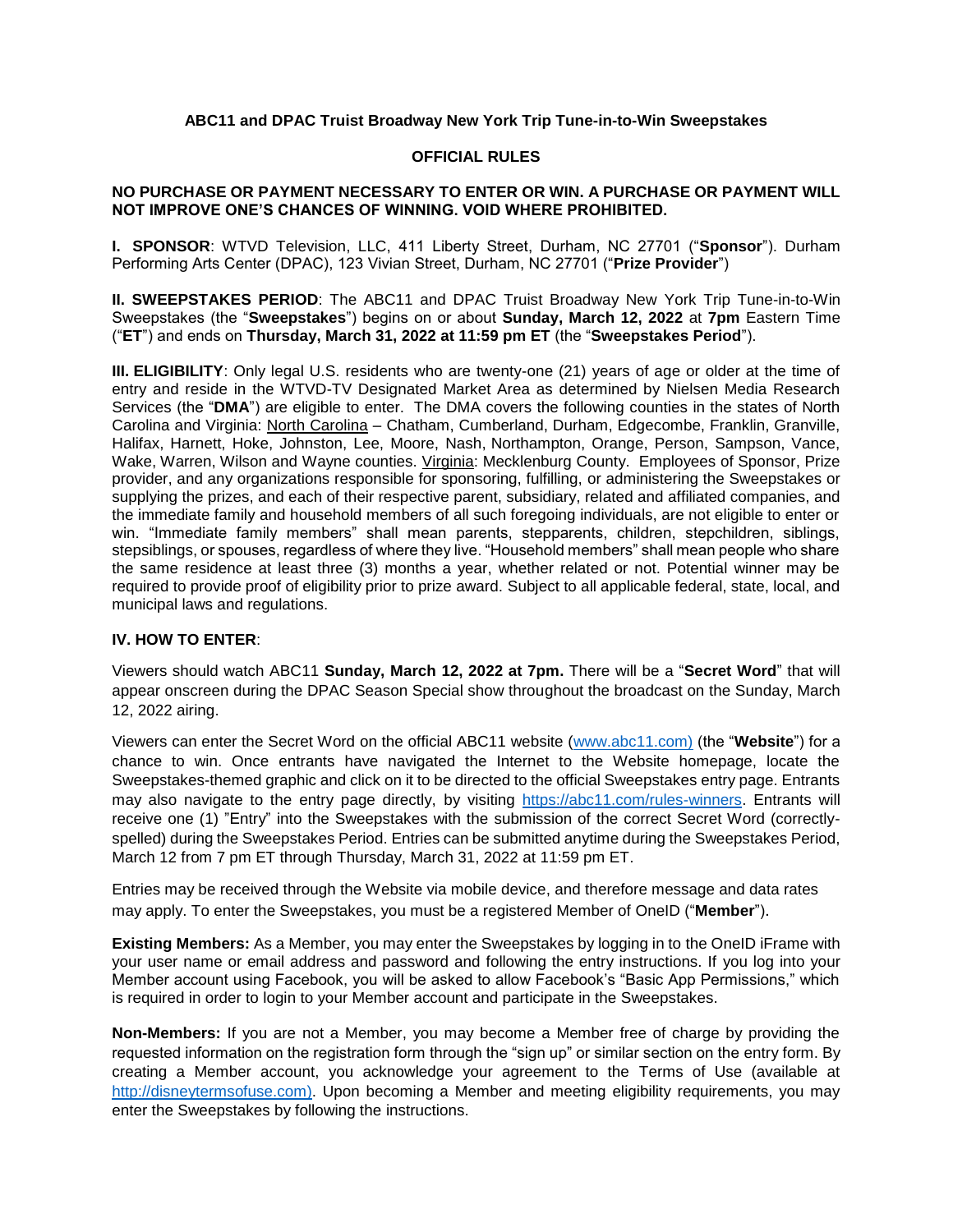### **ABC11 and DPAC Truist Broadway New York Trip Tune-in-to-Win Sweepstakes**

#### **OFFICIAL RULES**

### **NO PURCHASE OR PAYMENT NECESSARY TO ENTER OR WIN. A PURCHASE OR PAYMENT WILL NOT IMPROVE ONE'S CHANCES OF WINNING. VOID WHERE PROHIBITED.**

**I. SPONSOR**: WTVD Television, LLC, 411 Liberty Street, Durham, NC 27701 ("**Sponsor**"). Durham Performing Arts Center (DPAC), 123 Vivian Street, Durham, NC 27701 ("**Prize Provider**")

**II. SWEEPSTAKES PERIOD**: The ABC11 and DPAC Truist Broadway New York Trip Tune-in-to-Win Sweepstakes (the "**Sweepstakes**") begins on or about **Sunday, March 12, 2022** at **7pm** Eastern Time ("**ET**") and ends on **Thursday, March 31, 2022 at 11:59 pm ET** (the "**Sweepstakes Period**").

**III. ELIGIBILITY**: Only legal U.S. residents who are twenty-one (21) years of age or older at the time of entry and reside in the WTVD-TV Designated Market Area as determined by Nielsen Media Research Services (the "**DMA**") are eligible to enter. The DMA covers the following counties in the states of North Carolina and Virginia: North Carolina - Chatham, Cumberland, Durham, Edgecombe, Franklin, Granville, Halifax, Harnett, Hoke, Johnston, Lee, Moore, Nash, Northampton, Orange, Person, Sampson, Vance, Wake, Warren, Wilson and Wayne counties. Virginia: Mecklenburg County. Employees of Sponsor, Prize provider, and any organizations responsible for sponsoring, fulfilling, or administering the Sweepstakes or supplying the prizes, and each of their respective parent, subsidiary, related and affiliated companies, and the immediate family and household members of all such foregoing individuals, are not eligible to enter or win. "Immediate family members" shall mean parents, stepparents, children, stepchildren, siblings, stepsiblings, or spouses, regardless of where they live. "Household members" shall mean people who share the same residence at least three (3) months a year, whether related or not. Potential winner may be required to provide proof of eligibility prior to prize award. Subject to all applicable federal, state, local, and municipal laws and regulations.

#### **IV. HOW TO ENTER**:

Viewers should watch ABC11 **Sunday, March 12, 2022 at 7pm.** There will be a "**Secret Word**" that will appear onscreen during the DPAC Season Special show throughout the broadcast on the Sunday, March 12, 2022 airing.

Viewers can enter the Secret Word on the official ABC11 website [\(www.abc11.com\)](http://www.abc11.com/) (the "**Website**") for a chance to win. Once entrants have navigated the Internet to the Website homepage, locate the Sweepstakes-themed graphic and click on it to be directed to the official Sweepstakes entry page. Entrants may also navigate to the entry page directly, by visiting [https://abc11.com/rules-winners.](https://abc11.com/rules-winners) Entrants will receive one (1) "Entry" into the Sweepstakes with the submission of the correct Secret Word (correctlyspelled) during the Sweepstakes Period. Entries can be submitted anytime during the Sweepstakes Period, March 12 from 7 pm ET through Thursday, March 31, 2022 at 11:59 pm ET.

Entries may be received through the Website via mobile device, and therefore message and data rates may apply. To enter the Sweepstakes, you must be a registered Member of OneID ("**Member**").

**Existing Members:** As a Member, you may enter the Sweepstakes by logging in to the OneID iFrame with your user name or email address and password and following the entry instructions. If you log into your Member account using Facebook, you will be asked to allow Facebook's "Basic App Permissions," which is required in order to login to your Member account and participate in the Sweepstakes.

**Non-Members:** If you are not a Member, you may become a Member free of charge by providing the requested information on the registration form through the "sign up" or similar section on the entry form. By creating a Member account, you acknowledge your agreement to the Terms of Use (available at [http://disneytermsofuse.com\)](http://disneytermsofuse.com/). Upon becoming a Member and meeting eligibility requirements, you may enter the Sweepstakes by following the instructions.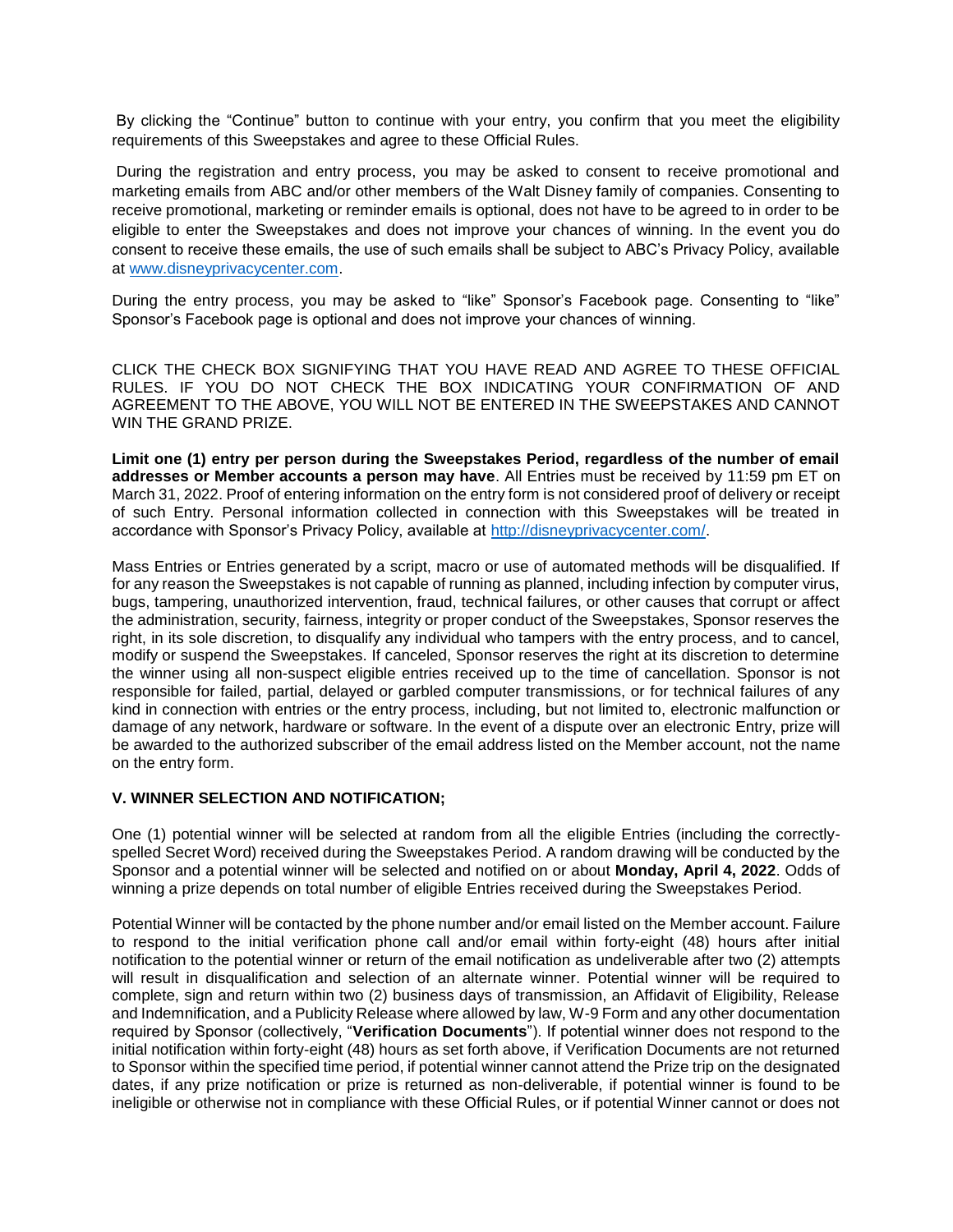By clicking the "Continue" button to continue with your entry, you confirm that you meet the eligibility requirements of this Sweepstakes and agree to these Official Rules.

During the registration and entry process, you may be asked to consent to receive promotional and marketing emails from ABC and/or other members of the Walt Disney family of companies. Consenting to receive promotional, marketing or reminder emails is optional, does not have to be agreed to in order to be eligible to enter the Sweepstakes and does not improve your chances of winning. In the event you do consent to receive these emails, the use of such emails shall be subject to ABC's Privacy Policy, available at [www.disneyprivacycenter.com.](http://www.disneyprivacycenter.com/)

During the entry process, you may be asked to "like" Sponsor's Facebook page. Consenting to "like" Sponsor's Facebook page is optional and does not improve your chances of winning.

CLICK THE CHECK BOX SIGNIFYING THAT YOU HAVE READ AND AGREE TO THESE OFFICIAL RULES. IF YOU DO NOT CHECK THE BOX INDICATING YOUR CONFIRMATION OF AND AGREEMENT TO THE ABOVE, YOU WILL NOT BE ENTERED IN THE SWEEPSTAKES AND CANNOT WIN THE GRAND PRIZE.

**Limit one (1) entry per person during the Sweepstakes Period, regardless of the number of email addresses or Member accounts a person may have**. All Entries must be received by 11:59 pm ET on March 31, 2022. Proof of entering information on the entry form is not considered proof of delivery or receipt of such Entry. Personal information collected in connection with this Sweepstakes will be treated in accordance with Sponsor's Privacy Policy, available at [http://disneyprivacycenter.com/.](http://disneyprivacycenter.com/)

Mass Entries or Entries generated by a script, macro or use of automated methods will be disqualified. If for any reason the Sweepstakes is not capable of running as planned, including infection by computer virus, bugs, tampering, unauthorized intervention, fraud, technical failures, or other causes that corrupt or affect the administration, security, fairness, integrity or proper conduct of the Sweepstakes, Sponsor reserves the right, in its sole discretion, to disqualify any individual who tampers with the entry process, and to cancel, modify or suspend the Sweepstakes. If canceled, Sponsor reserves the right at its discretion to determine the winner using all non-suspect eligible entries received up to the time of cancellation. Sponsor is not responsible for failed, partial, delayed or garbled computer transmissions, or for technical failures of any kind in connection with entries or the entry process, including, but not limited to, electronic malfunction or damage of any network, hardware or software. In the event of a dispute over an electronic Entry, prize will be awarded to the authorized subscriber of the email address listed on the Member account, not the name on the entry form.

#### **V. WINNER SELECTION AND NOTIFICATION;**

One (1) potential winner will be selected at random from all the eligible Entries (including the correctlyspelled Secret Word) received during the Sweepstakes Period. A random drawing will be conducted by the Sponsor and a potential winner will be selected and notified on or about **Monday, April 4, 2022**. Odds of winning a prize depends on total number of eligible Entries received during the Sweepstakes Period.

Potential Winner will be contacted by the phone number and/or email listed on the Member account. Failure to respond to the initial verification phone call and/or email within forty-eight (48) hours after initial notification to the potential winner or return of the email notification as undeliverable after two (2) attempts will result in disqualification and selection of an alternate winner. Potential winner will be required to complete, sign and return within two (2) business days of transmission, an Affidavit of Eligibility, Release and Indemnification, and a Publicity Release where allowed by law, W-9 Form and any other documentation required by Sponsor (collectively, "**Verification Documents**"). If potential winner does not respond to the initial notification within forty-eight (48) hours as set forth above, if Verification Documents are not returned to Sponsor within the specified time period, if potential winner cannot attend the Prize trip on the designated dates, if any prize notification or prize is returned as non-deliverable, if potential winner is found to be ineligible or otherwise not in compliance with these Official Rules, or if potential Winner cannot or does not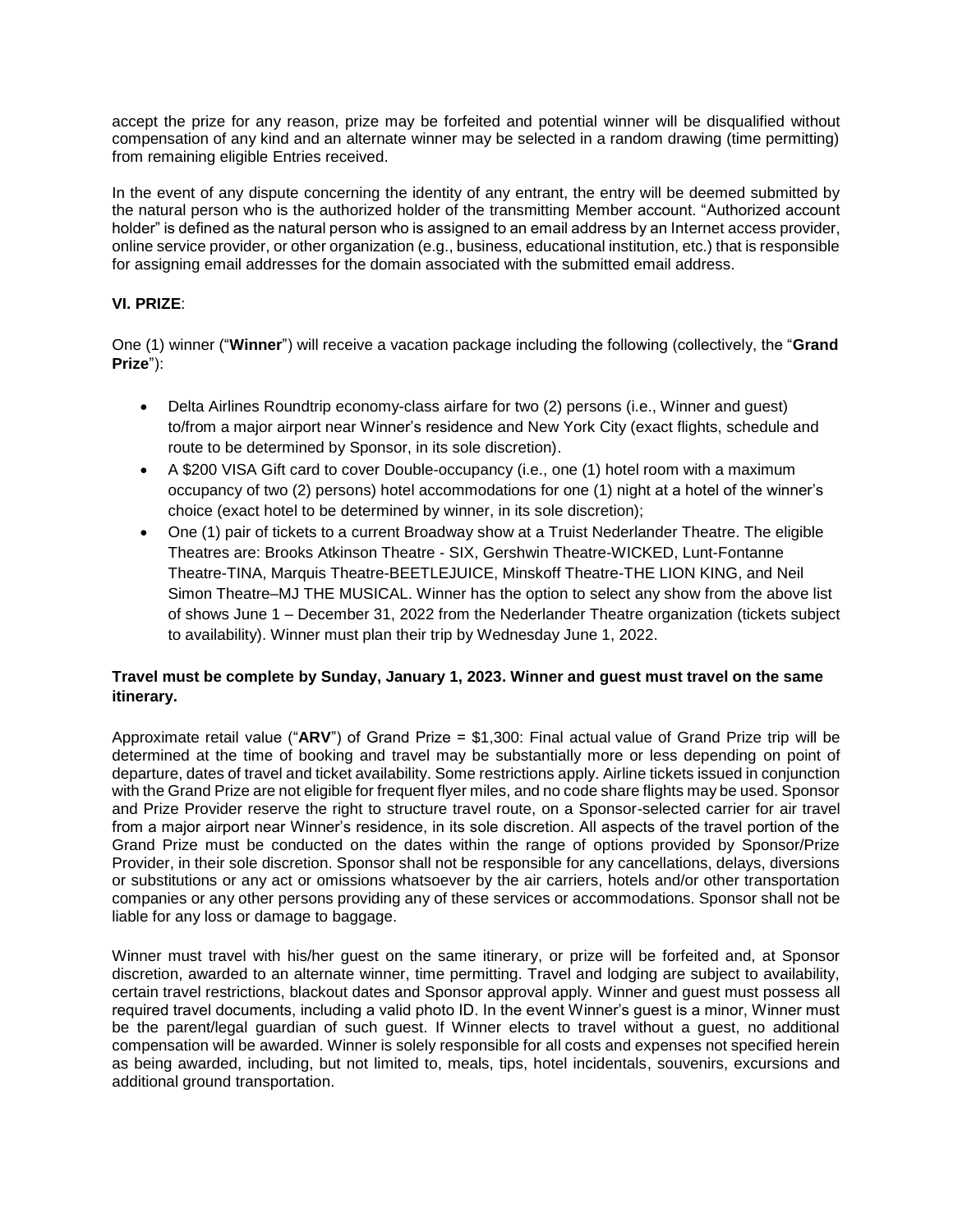accept the prize for any reason, prize may be forfeited and potential winner will be disqualified without compensation of any kind and an alternate winner may be selected in a random drawing (time permitting) from remaining eligible Entries received.

In the event of any dispute concerning the identity of any entrant, the entry will be deemed submitted by the natural person who is the authorized holder of the transmitting Member account. "Authorized account holder" is defined as the natural person who is assigned to an email address by an Internet access provider, online service provider, or other organization (e.g., business, educational institution, etc.) that is responsible for assigning email addresses for the domain associated with the submitted email address.

# **VI. PRIZE**:

One (1) winner ("**Winner**") will receive a vacation package including the following (collectively, the "**Grand Prize**"):

- Delta Airlines Roundtrip economy-class airfare for two (2) persons (i.e., Winner and guest) to/from a major airport near Winner's residence and New York City (exact flights, schedule and route to be determined by Sponsor, in its sole discretion).
- A \$200 VISA Gift card to cover Double-occupancy (i.e., one (1) hotel room with a maximum occupancy of two (2) persons) hotel accommodations for one (1) night at a hotel of the winner's choice (exact hotel to be determined by winner, in its sole discretion);
- One (1) pair of tickets to a current Broadway show at a Truist Nederlander Theatre. The eligible Theatres are: Brooks Atkinson Theatre - SIX, Gershwin Theatre-WICKED, Lunt-Fontanne Theatre-TINA, Marquis Theatre-BEETLEJUICE, Minskoff Theatre-THE LION KING, and Neil Simon Theatre–MJ THE MUSICAL. Winner has the option to select any show from the above list of shows June 1 – December 31, 2022 from the Nederlander Theatre organization (tickets subject to availability). Winner must plan their trip by Wednesday June 1, 2022.

# **Travel must be complete by Sunday, January 1, 2023. Winner and guest must travel on the same itinerary.**

Approximate retail value ("**ARV**") of Grand Prize = \$1,300: Final actual value of Grand Prize trip will be determined at the time of booking and travel may be substantially more or less depending on point of departure, dates of travel and ticket availability. Some restrictions apply. Airline tickets issued in conjunction with the Grand Prize are not eligible for frequent flyer miles, and no code share flights may be used. Sponsor and Prize Provider reserve the right to structure travel route, on a Sponsor-selected carrier for air travel from a major airport near Winner's residence, in its sole discretion. All aspects of the travel portion of the Grand Prize must be conducted on the dates within the range of options provided by Sponsor/Prize Provider, in their sole discretion. Sponsor shall not be responsible for any cancellations, delays, diversions or substitutions or any act or omissions whatsoever by the air carriers, hotels and/or other transportation companies or any other persons providing any of these services or accommodations. Sponsor shall not be liable for any loss or damage to baggage.

Winner must travel with his/her guest on the same itinerary, or prize will be forfeited and, at Sponsor discretion, awarded to an alternate winner, time permitting. Travel and lodging are subject to availability, certain travel restrictions, blackout dates and Sponsor approval apply. Winner and guest must possess all required travel documents, including a valid photo ID. In the event Winner's guest is a minor, Winner must be the parent/legal guardian of such guest. If Winner elects to travel without a guest, no additional compensation will be awarded. Winner is solely responsible for all costs and expenses not specified herein as being awarded, including, but not limited to, meals, tips, hotel incidentals, souvenirs, excursions and additional ground transportation.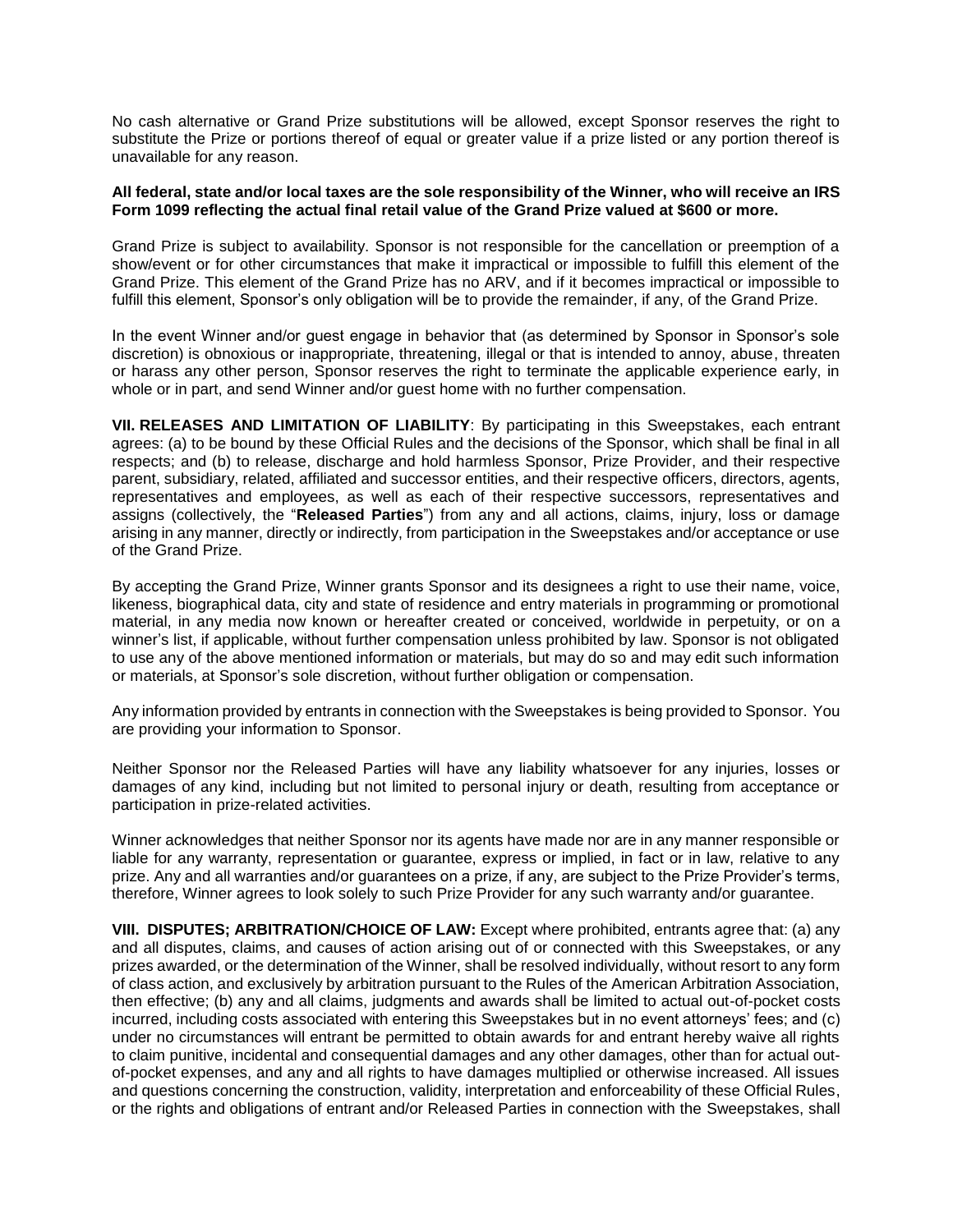No cash alternative or Grand Prize substitutions will be allowed, except Sponsor reserves the right to substitute the Prize or portions thereof of equal or greater value if a prize listed or any portion thereof is unavailable for any reason.

#### **All federal, state and/or local taxes are the sole responsibility of the Winner, who will receive an IRS Form 1099 reflecting the actual final retail value of the Grand Prize valued at \$600 or more.**

Grand Prize is subject to availability. Sponsor is not responsible for the cancellation or preemption of a show/event or for other circumstances that make it impractical or impossible to fulfill this element of the Grand Prize. This element of the Grand Prize has no ARV, and if it becomes impractical or impossible to fulfill this element, Sponsor's only obligation will be to provide the remainder, if any, of the Grand Prize.

In the event Winner and/or guest engage in behavior that (as determined by Sponsor in Sponsor's sole discretion) is obnoxious or inappropriate, threatening, illegal or that is intended to annoy, abuse, threaten or harass any other person, Sponsor reserves the right to terminate the applicable experience early, in whole or in part, and send Winner and/or guest home with no further compensation.

**VII. RELEASES AND LIMITATION OF LIABILITY**: By participating in this Sweepstakes, each entrant agrees: (a) to be bound by these Official Rules and the decisions of the Sponsor, which shall be final in all respects; and (b) to release, discharge and hold harmless Sponsor, Prize Provider, and their respective parent, subsidiary, related, affiliated and successor entities, and their respective officers, directors, agents, representatives and employees, as well as each of their respective successors, representatives and assigns (collectively, the "**Released Parties**") from any and all actions, claims, injury, loss or damage arising in any manner, directly or indirectly, from participation in the Sweepstakes and/or acceptance or use of the Grand Prize.

By accepting the Grand Prize, Winner grants Sponsor and its designees a right to use their name, voice, likeness, biographical data, city and state of residence and entry materials in programming or promotional material, in any media now known or hereafter created or conceived, worldwide in perpetuity, or on a winner's list, if applicable, without further compensation unless prohibited by law. Sponsor is not obligated to use any of the above mentioned information or materials, but may do so and may edit such information or materials, at Sponsor's sole discretion, without further obligation or compensation.

Any information provided by entrants in connection with the Sweepstakes is being provided to Sponsor. You are providing your information to Sponsor.

Neither Sponsor nor the Released Parties will have any liability whatsoever for any injuries, losses or damages of any kind, including but not limited to personal injury or death, resulting from acceptance or participation in prize-related activities.

Winner acknowledges that neither Sponsor nor its agents have made nor are in any manner responsible or liable for any warranty, representation or guarantee, express or implied, in fact or in law, relative to any prize. Any and all warranties and/or guarantees on a prize, if any, are subject to the Prize Provider's terms, therefore, Winner agrees to look solely to such Prize Provider for any such warranty and/or guarantee.

**VIII. DISPUTES; ARBITRATION/CHOICE OF LAW:** Except where prohibited, entrants agree that: (a) any and all disputes, claims, and causes of action arising out of or connected with this Sweepstakes, or any prizes awarded, or the determination of the Winner, shall be resolved individually, without resort to any form of class action, and exclusively by arbitration pursuant to the Rules of the American Arbitration Association, then effective; (b) any and all claims, judgments and awards shall be limited to actual out-of-pocket costs incurred, including costs associated with entering this Sweepstakes but in no event attorneys' fees; and (c) under no circumstances will entrant be permitted to obtain awards for and entrant hereby waive all rights to claim punitive, incidental and consequential damages and any other damages, other than for actual outof-pocket expenses, and any and all rights to have damages multiplied or otherwise increased. All issues and questions concerning the construction, validity, interpretation and enforceability of these Official Rules, or the rights and obligations of entrant and/or Released Parties in connection with the Sweepstakes, shall